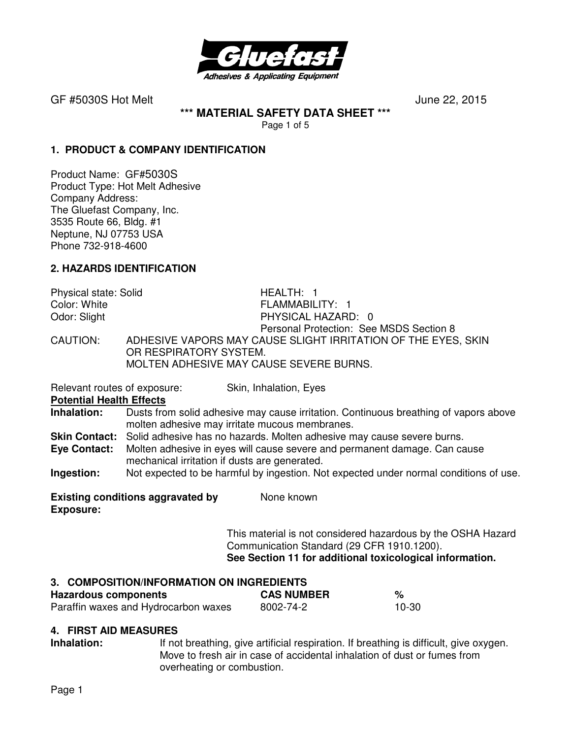

**\*\*\* MATERIAL SAFETY DATA SHEET \*\*\*** 

Page 1 of 5

#### **1. PRODUCT & COMPANY IDENTIFICATION**

Product Name: GF#5030S Product Type: Hot Melt Adhesive Company Address: The Gluefast Company, Inc. 3535 Route 66, Bldg. #1 Neptune, NJ 07753 USA Phone 732-918-4600

## **2. HAZARDS IDENTIFICATION**

Physical state: Solid Franch HEALTH: 1<br>Color: White FLAMMABIL FLAMMABILITY: 1 Odor: Slight **PHYSICAL HAZARD:** 0 Personal Protection: See MSDS Section 8 CAUTION: ADHESIVE VAPORS MAY CAUSE SLIGHT IRRITATION OF THE EYES, SKIN OR RESPIRATORY SYSTEM. MOLTEN ADHESIVE MAY CAUSE SEVERE BURNS.

Relevant routes of exposure: Skin, Inhalation, Eyes

**Potential Health Effects** 

**Inhalation:** Dusts from solid adhesive may cause irritation. Continuous breathing of vapors above molten adhesive may irritate mucous membranes.

**Skin Contact:** Solid adhesive has no hazards. Molten adhesive may cause severe burns.

**Eye Contact:** Molten adhesive in eyes will cause severe and permanent damage. Can cause mechanical irritation if dusts are generated.

**Ingestion:** Not expected to be harmful by ingestion. Not expected under normal conditions of use.

**Existing conditions aggravated by Some known Exposure:** 

> This material is not considered hazardous by the OSHA Hazard Communication Standard (29 CFR 1910.1200). **See Section 11 for additional toxicological information.**

## **3. COMPOSITION/INFORMATION ON INGREDIENTS**

| <b>Hazardous components</b>          | <b>CAS NUMBER</b> | %     |
|--------------------------------------|-------------------|-------|
| Paraffin waxes and Hydrocarbon waxes | 8002-74-2         | 10-30 |

#### **4. FIRST AID MEASURES**

**Inhalation:** If not breathing, give artificial respiration. If breathing is difficult, give oxygen. Move to fresh air in case of accidental inhalation of dust or fumes from overheating or combustion.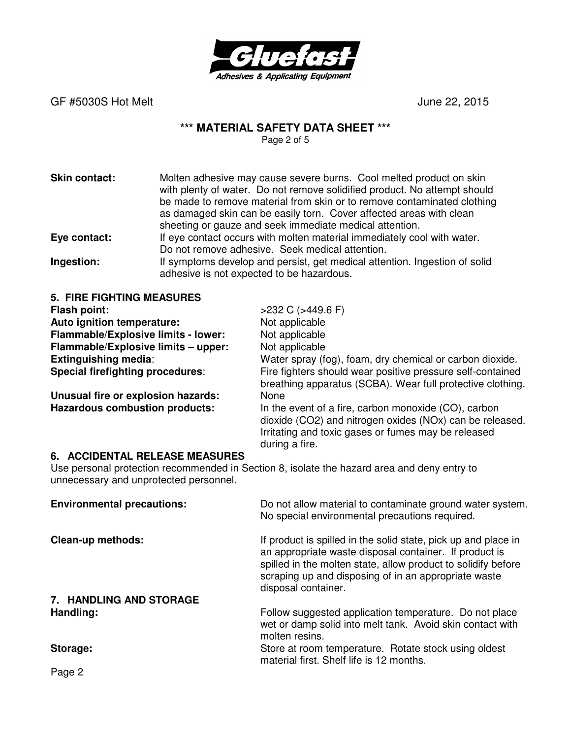

## **\*\*\* MATERIAL SAFETY DATA SHEET \*\*\***

Page 2 of 5

**Skin contact:** Molten adhesive may cause severe burns. Cool melted product on skin with plenty of water. Do not remove solidified product. No attempt should be made to remove material from skin or to remove contaminated clothing as damaged skin can be easily torn. Cover affected areas with clean sheeting or gauze and seek immediate medical attention. **Eye contact:** If eye contact occurs with molten material immediately cool with water. Do not remove adhesive. Seek medical attention. **Ingestion:** If symptoms develop and persist, get medical attention. Ingestion of solid adhesive is not expected to be hazardous.

| <b>5. FIRE FIGHTING MEASURES</b>        |                                                                                                                                                                                           |
|-----------------------------------------|-------------------------------------------------------------------------------------------------------------------------------------------------------------------------------------------|
| Flash point:                            | $>232$ C ( $>449.6$ F)                                                                                                                                                                    |
| Auto ignition temperature:              | Not applicable                                                                                                                                                                            |
| Flammable/Explosive limits - lower:     | Not applicable                                                                                                                                                                            |
| Flammable/Explosive limits - upper:     | Not applicable                                                                                                                                                                            |
| <b>Extinguishing media:</b>             | Water spray (fog), foam, dry chemical or carbon dioxide.                                                                                                                                  |
| <b>Special firefighting procedures:</b> | Fire fighters should wear positive pressure self-contained<br>breathing apparatus (SCBA). Wear full protective clothing.                                                                  |
| Unusual fire or explosion hazards:      | None                                                                                                                                                                                      |
| <b>Hazardous combustion products:</b>   | In the event of a fire, carbon monoxide (CO), carbon<br>dioxide (CO2) and nitrogen oxides (NOx) can be released.<br>Irritating and toxic gases or fumes may be released<br>during a fire. |

#### **6. ACCIDENTAL RELEASE MEASURES**

Use personal protection recommended in Section 8, isolate the hazard area and deny entry to unnecessary and unprotected personnel.

| <b>Environmental precautions:</b> | Do not allow material to contaminate ground water system.<br>No special environmental precautions required.                                                                                                                                                              |
|-----------------------------------|--------------------------------------------------------------------------------------------------------------------------------------------------------------------------------------------------------------------------------------------------------------------------|
| <b>Clean-up methods:</b>          | If product is spilled in the solid state, pick up and place in<br>an appropriate waste disposal container. If product is<br>spilled in the molten state, allow product to solidify before<br>scraping up and disposing of in an appropriate waste<br>disposal container. |
| 7. HANDLING AND STORAGE           |                                                                                                                                                                                                                                                                          |
| Handling:                         | Follow suggested application temperature. Do not place<br>wet or damp solid into melt tank. Avoid skin contact with<br>molten resins.                                                                                                                                    |
| Storage:                          | Store at room temperature. Rotate stock using oldest<br>material first. Shelf life is 12 months.                                                                                                                                                                         |

Page 2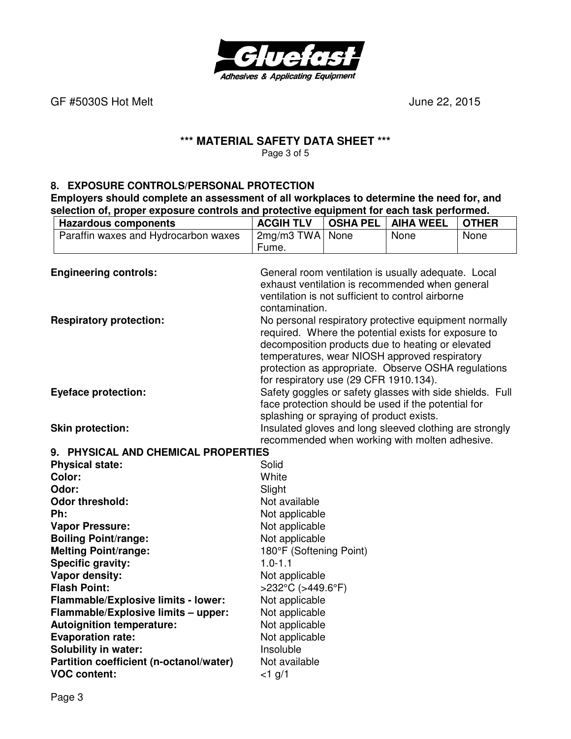

٦

# **\*\*\* MATERIAL SAFETY DATA SHEET \*\*\***

Page 3 of 5

#### **8. EXPOSURE CONTROLS/PERSONAL PROTECTION**

**Employers should complete an assessment of all workplaces to determine the need for, and selection of, proper exposure controls and protective equipment for each task performed.** 

| <b>Hazardous components</b>             | <b>ACGIH TLV</b>                                                                                                | <b>OSHA PEL</b> | <b>AIHA WEEL</b>                                        | <b>OTHER</b> |
|-----------------------------------------|-----------------------------------------------------------------------------------------------------------------|-----------------|---------------------------------------------------------|--------------|
| Paraffin waxes and Hydrocarbon waxes    | $2mg/m3$ TWA                                                                                                    | None            | None                                                    | None         |
|                                         | Fume.                                                                                                           |                 |                                                         |              |
|                                         |                                                                                                                 |                 |                                                         |              |
| <b>Engineering controls:</b>            |                                                                                                                 |                 | General room ventilation is usually adequate. Local     |              |
|                                         |                                                                                                                 |                 | exhaust ventilation is recommended when general         |              |
|                                         |                                                                                                                 |                 | ventilation is not sufficient to control airborne       |              |
|                                         | contamination.                                                                                                  |                 |                                                         |              |
| <b>Respiratory protection:</b>          | No personal respiratory protective equipment normally<br>required. Where the potential exists for exposure to   |                 |                                                         |              |
|                                         |                                                                                                                 |                 |                                                         |              |
|                                         |                                                                                                                 |                 | decomposition products due to heating or elevated       |              |
|                                         |                                                                                                                 |                 | temperatures, wear NIOSH approved respiratory           |              |
|                                         | for respiratory use (29 CFR 1910.134).                                                                          |                 | protection as appropriate. Observe OSHA regulations     |              |
| <b>Eyeface protection:</b>              |                                                                                                                 |                 |                                                         |              |
|                                         | Safety goggles or safety glasses with side shields. Full<br>face protection should be used if the potential for |                 |                                                         |              |
|                                         | splashing or spraying of product exists.                                                                        |                 |                                                         |              |
| <b>Skin protection:</b>                 |                                                                                                                 |                 | Insulated gloves and long sleeved clothing are strongly |              |
|                                         |                                                                                                                 |                 | recommended when working with molten adhesive.          |              |
| 9. PHYSICAL AND CHEMICAL PROPERTIES     |                                                                                                                 |                 |                                                         |              |
| <b>Physical state:</b>                  | Solid                                                                                                           |                 |                                                         |              |
| Color:                                  | White                                                                                                           |                 |                                                         |              |
| Odor:                                   | Slight                                                                                                          |                 |                                                         |              |
| <b>Odor threshold:</b>                  | Not available                                                                                                   |                 |                                                         |              |
| Ph:                                     | Not applicable                                                                                                  |                 |                                                         |              |
| <b>Vapor Pressure:</b>                  | Not applicable                                                                                                  |                 |                                                         |              |
| <b>Boiling Point/range:</b>             | Not applicable                                                                                                  |                 |                                                         |              |
| <b>Melting Point/range:</b>             | 180°F (Softening Point)                                                                                         |                 |                                                         |              |
| <b>Specific gravity:</b>                | $1.0 - 1.1$                                                                                                     |                 |                                                         |              |
| Vapor density:                          | Not applicable                                                                                                  |                 |                                                         |              |
| <b>Flash Point:</b>                     | >232°C (>449.6°F)                                                                                               |                 |                                                         |              |
| Flammable/Explosive limits - lower:     | Not applicable                                                                                                  |                 |                                                         |              |
| Flammable/Explosive limits - upper:     | Not applicable                                                                                                  |                 |                                                         |              |
| <b>Autoignition temperature:</b>        | Not applicable                                                                                                  |                 |                                                         |              |
| <b>Evaporation rate:</b>                | Not applicable                                                                                                  |                 |                                                         |              |
| <b>Solubility in water:</b>             | Insoluble                                                                                                       |                 |                                                         |              |
| Partition coefficient (n-octanol/water) | Not available                                                                                                   |                 |                                                         |              |
| <b>VOC content:</b>                     | $<$ 1 g/1                                                                                                       |                 |                                                         |              |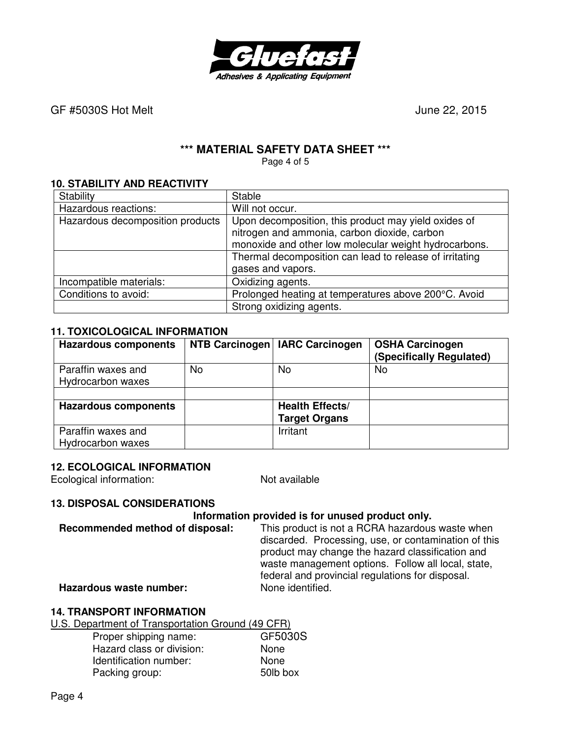

## **\*\*\* MATERIAL SAFETY DATA SHEET \*\*\***

Page 4 of 5

#### **10. STABILITY AND REACTIVITY**

| Stability                        | Stable                                                  |
|----------------------------------|---------------------------------------------------------|
| Hazardous reactions:             | Will not occur.                                         |
| Hazardous decomposition products | Upon decomposition, this product may yield oxides of    |
|                                  | nitrogen and ammonia, carbon dioxide, carbon            |
|                                  | monoxide and other low molecular weight hydrocarbons.   |
|                                  | Thermal decomposition can lead to release of irritating |
|                                  | gases and vapors.                                       |
| Incompatible materials:          | Oxidizing agents.                                       |
| Conditions to avoid:             | Prolonged heating at temperatures above 200°C. Avoid    |
|                                  | Strong oxidizing agents.                                |

## **11. TOXICOLOGICAL INFORMATION**

| <b>Hazardous components</b>             |     | NTB Carcinogen   IARC Carcinogen               | <b>OSHA Carcinogen</b><br>(Specifically Regulated) |
|-----------------------------------------|-----|------------------------------------------------|----------------------------------------------------|
| Paraffin waxes and<br>Hydrocarbon waxes | No. | No                                             | No                                                 |
|                                         |     |                                                |                                                    |
| <b>Hazardous components</b>             |     | <b>Health Effects/</b><br><b>Target Organs</b> |                                                    |
| Paraffin waxes and<br>Hydrocarbon waxes |     | Irritant                                       |                                                    |

## **12. ECOLOGICAL INFORMATION**

Ecological information: Not available

## **13. DISPOSAL CONSIDERATIONS**

## **Information provided is for unused product only.**

**Recommended method of disposal:** This product is not a RCRA hazardous waste when discarded. Processing, use, or contamination of this product may change the hazard classification and waste management options. Follow all local, state, federal and provincial regulations for disposal.

**Hazardous waste number:** 

## **14. TRANSPORT INFORMATION**

U.S. Department of Transportation Ground (49 CFR)

| Proper shipping name:     | GF5030S  |
|---------------------------|----------|
| Hazard class or division: | None     |
| Identification number:    | None     |
| Packing group:            | 50lb box |